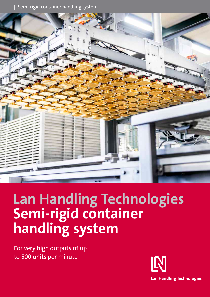| Semi-rigid container handling system |



# **Lan Handling Technologies Semi-rigid container handling system**

For very high outputs of up to 500 units per minute